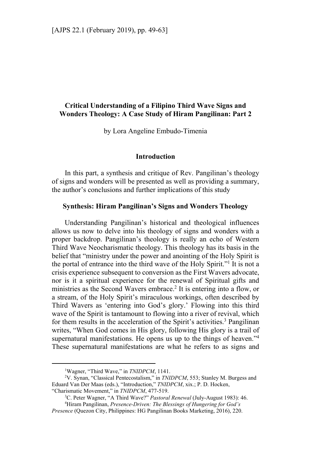# **Critical Understanding of a Filipino Third Wave Signs and Wonders Theology: A Case Study of Hiram Pangilinan: Part 2**

by Lora Angeline Embudo-Timenia

### **Introduction**

In this part, a synthesis and critique of Rev. Pangilinan's theology of signs and wonders will be presented as well as providing a summary, the author's conclusions and further implications of this study

#### **Synthesis: Hiram Pangilinan's Signs and Wonders Theology**

Understanding Pangilinan's historical and theological influences allows us now to delve into his theology of signs and wonders with a proper backdrop. Pangilinan's theology is really an echo of Western Third Wave Neocharismatic theology. This theology has its basis in the belief that "ministry under the power and anointing of the Holy Spirit is the portal of entrance into the third wave of the Holy Spirit."<sup>1</sup> It is not a crisis experience subsequent to conversion as the First Wavers advocate, nor is it a spiritual experience for the renewal of Spiritual gifts and ministries as the Second Wavers embrace.<sup>2</sup> It is entering into a flow, or a stream, of the Holy Spirit's miraculous workings, often described by Third Wavers as 'entering into God's glory.' Flowing into this third wave of the Spirit is tantamount to flowing into a river of revival, which for them results in the acceleration of the Spirit's activities.<sup>3</sup> Pangilinan writes, "When God comes in His glory, following His glory is a trail of supernatural manifestations. He opens us up to the things of heaven."<sup>4</sup> These supernatural manifestations are what he refers to as signs and

<sup>&</sup>lt;sup>1</sup>Wagner, "Third Wave," in *TNIDPCM*, 1141.

<sup>&</sup>lt;sup>2</sup>V. Synan, "Classical Pentecostalism," in *TNIDPCM*, 553; Stanley M. Burgess and Eduard Van Der Maas (eds.), "Introduction," *TNIDPCM*, xix.; P. D. Hocken, "Charismatic Movement," in *TNIDPCM*, 477-519. 3

<sup>&</sup>lt;sup>3</sup>C. Peter Wagner, "A Third Wave?" Pastoral Renewal (July-August 1983): 46.

Hiram Pangilinan, *Presence-Driven: The Blessings of Hungering for God's Presence* (Quezon City, Philippines: HG Pangilinan Books Marketing, 2016), 220.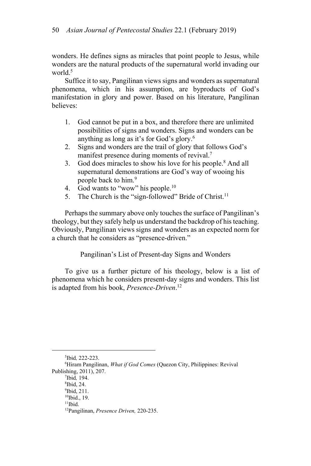wonders. He defines signs as miracles that point people to Jesus, while wonders are the natural products of the supernatural world invading our world.5

Suffice it to say, Pangilinan views signs and wonders as supernatural phenomena, which in his assumption, are byproducts of God's manifestation in glory and power. Based on his literature, Pangilinan believes:

- 1. God cannot be put in a box, and therefore there are unlimited possibilities of signs and wonders. Signs and wonders can be anything as long as it's for God's glory.6
- 2. Signs and wonders are the trail of glory that follows God's manifest presence during moments of revival.<sup>7</sup>
- 3. God does miracles to show his love for his people.<sup>8</sup> And all supernatural demonstrations are God's way of wooing his people back to him.9
- 4. God wants to "wow" his people.<sup>10</sup>
- 5. The Church is the "sign-followed" Bride of Christ.<sup>11</sup>

Perhaps the summary above only touches the surface of Pangilinan's theology, but they safely help us understand the backdrop of his teaching. Obviously, Pangilinan views signs and wonders as an expected norm for a church that he considers as "presence-driven."

Pangilinan's List of Present-day Signs and Wonders

To give us a further picture of his theology, below is a list of phenomena which he considers present-day signs and wonders. This list is adapted from his book, *Presence-Driven*. 12

<sup>5</sup>Ibid, 222-223.<br><sup>6</sup>Hiram Panailir

<sup>&</sup>lt;sup>6</sup>Hiram Pangilinan, *What if God Comes* (Quezon City, Philippines: Revival Publishing, 2011), 207.

Ibid*,* 194. 8

<sup>&</sup>lt;sup>8</sup>Ibid, 24.

<sup>9</sup> Ibid, 211. <sup>10</sup>Ibid., 19.

 $11$ Ibid.

<sup>12</sup>Pangilinan, *Presence Driven,* 220-235.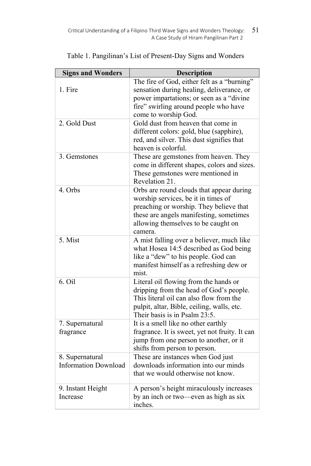| <b>Signs and Wonders</b>                       | <b>Description</b>                                                                                                                                                                                                      |
|------------------------------------------------|-------------------------------------------------------------------------------------------------------------------------------------------------------------------------------------------------------------------------|
| 1. Fire                                        | The fire of God, either felt as a "burning"<br>sensation during healing, deliverance, or<br>power impartations; or seen as a "divine"<br>fire" swirling around people who have<br>come to worship God.                  |
| 2. Gold Dust                                   | Gold dust from heaven that come in<br>different colors: gold, blue (sapphire),<br>red, and silver. This dust signifies that<br>heaven is colorful.                                                                      |
| 3. Gemstones                                   | These are gemstones from heaven. They<br>come in different shapes, colors and sizes.<br>These gemstones were mentioned in<br>Revelation 21.                                                                             |
| 4. Orbs                                        | Orbs are round clouds that appear during<br>worship services, be it in times of<br>preaching or worship. They believe that<br>these are angels manifesting, sometimes<br>allowing themselves to be caught on<br>camera. |
| 5. Mist                                        | A mist falling over a believer, much like<br>what Hosea 14:5 described as God being<br>like a "dew" to his people. God can<br>manifest himself as a refreshing dew or<br>mist.                                          |
| 6. Oil                                         | Literal oil flowing from the hands or<br>dripping from the head of God's people.<br>This literal oil can also flow from the<br>pulpit, altar, Bible, ceiling, walls, etc.<br>Their basis is in Psalm 23:5.              |
| 7. Supernatural<br>fragrance                   | It is a smell like no other earthly<br>fragrance. It is sweet, yet not fruity. It can<br>jump from one person to another, or it<br>shifts from person to person.                                                        |
| 8. Supernatural<br><b>Information Download</b> | These are instances when God just<br>downloads information into our minds<br>that we would otherwise not know.                                                                                                          |
| 9. Instant Height<br>Increase                  | A person's height miraculously increases<br>by an inch or two-even as high as six<br>inches.                                                                                                                            |

Table 1. Pangilinan's List of Present-Day Signs and Wonders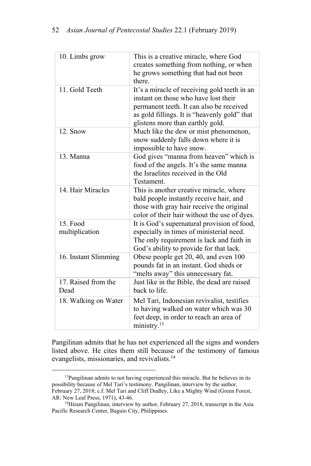| 10. Limbs grow              | This is a creative miracle, where God<br>creates something from nothing, or when<br>he grows something that had not been<br>there.                                                                                   |
|-----------------------------|----------------------------------------------------------------------------------------------------------------------------------------------------------------------------------------------------------------------|
| 11. Gold Teeth              | It's a miracle of receiving gold teeth in an<br>instant on those who have lost their<br>permanent teeth. It can also be received<br>as gold fillings. It is "heavenly gold" that<br>glistens more than earthly gold. |
| 12. Snow                    | Much like the dew or mist phenomenon,<br>snow suddenly falls down where it is<br>impossible to have snow.                                                                                                            |
| 13. Manna                   | God gives "manna from heaven" which is<br>food of the angels. It's the same manna<br>the Israelites received in the Old<br>Testament.                                                                                |
| 14. Hair Miracles           | This is another creative miracle, where<br>bald people instantly receive hair, and<br>those with gray hair receive the original<br>color of their hair without the use of dyes.                                      |
| 15. Food<br>multiplication  | It is God's supernatural provision of food,<br>especially in times of ministerial need.<br>The only requirement is lack and faith in<br>God's ability to provide for that lack.                                      |
| 16. Instant Slimming        | Obese people get 20, 40, and even 100<br>pounds fat in an instant. God sheds or<br>"melts away" this unnecessary fat.                                                                                                |
| 17. Raised from the<br>Dead | Just like in the Bible, the dead are raised<br>back to life.                                                                                                                                                         |
| 18. Walking on Water        | Mel Tari, Indonesian revivalist, testifies<br>to having walked on water which was 30<br>feet deep, in order to reach an area of<br>ministry. <sup>13</sup>                                                           |

Pangilinan admits that he has not experienced all the signs and wonders listed above. He cites them still because of the testimony of famous evangelists, missionaries, and revivalists.14

<sup>&</sup>lt;sup>13</sup>Pangilinan admits to not having experienced this miracle. But he believes in its possibility because of Mel Tari's testimony. Pangilinan, interview by the author, February 27, 2018; c.f. Mel Tari and Cliff Dudley, Like a Mighty Wind (Green Forest,

AR: New Leaf Press, 1971), 43-46.<br><sup>14</sup>Hiram Pangilinan, interview by author, February 27, 2018, transcript in the Asia Pacific Research Center, Baguio City, Philippines.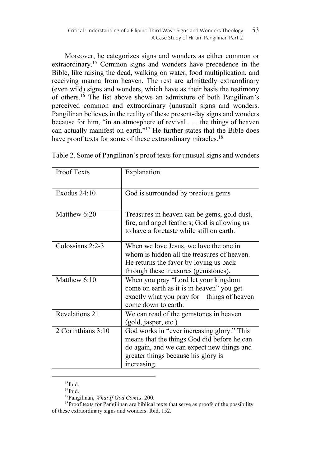Moreover, he categorizes signs and wonders as either common or extraordinary.15 Common signs and wonders have precedence in the Bible, like raising the dead, walking on water, food multiplication, and receiving manna from heaven. The rest are admittedly extraordinary (even wild) signs and wonders, which have as their basis the testimony of others.16 The list above shows an admixture of both Pangilinan's perceived common and extraordinary (unusual) signs and wonders. Pangilinan believes in the reality of these present-day signs and wonders because for him, "in an atmosphere of revival . . . the things of heaven can actually manifest on earth."<sup>17</sup> He further states that the Bible does have proof texts for some of these extraordinary miracles.<sup>18</sup>

| Proof Texts        | Explanation                                                                                                                                                                                   |
|--------------------|-----------------------------------------------------------------------------------------------------------------------------------------------------------------------------------------------|
| Exodus $24:10$     | God is surrounded by precious gems                                                                                                                                                            |
| Matthew 6:20       | Treasures in heaven can be gems, gold dust,<br>fire, and angel feathers; God is allowing us<br>to have a foretaste while still on earth.                                                      |
| Colossians 2:2-3   | When we love Jesus, we love the one in<br>whom is hidden all the treasures of heaven.<br>He returns the favor by loving us back<br>through these treasures (gemstones).                       |
| Matthew 6:10       | When you pray "Lord let your kingdom<br>come on earth as it is in heaven" you get<br>exactly what you pray for-things of heaven<br>come down to earth.                                        |
| Revelations 21     | We can read of the gemstones in heaven<br>(gold, jasper, etc.)                                                                                                                                |
| 2 Corinthians 3:10 | God works in "ever increasing glory." This<br>means that the things God did before he can<br>do again, and we can expect new things and<br>greater things because his glory is<br>increasing. |

Table 2. Some of Pangilinan's proof texts for unusual signs and wonders

 $15$ Ibid.

<sup>&</sup>lt;sup>16</sup>Ibid.<br><sup>17</sup>Pangilinan, *What If God Comes*, 200.

<sup>&</sup>lt;sup>18</sup>Proof texts for Pangilinan are biblical texts that serve as proofs of the possibility of these extraordinary signs and wonders. Ibid, 152.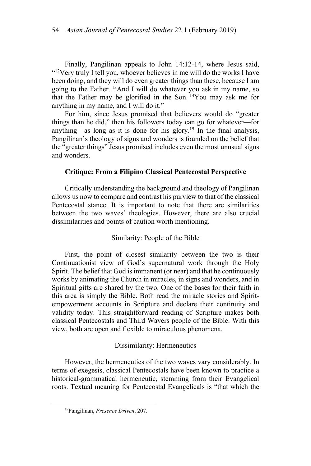Finally, Pangilinan appeals to John 14:12-14, where Jesus said, "<sup>12</sup>Very truly I tell you, whoever believes in me will do the works I have been doing, and they will do even greater things than these, because I am going to the Father. 13And I will do whatever you ask in my name, so that the Father may be glorified in the Son.  $^{14}$ You may ask me for anything in my name, and I will do it."

For him, since Jesus promised that believers would do "greater things than he did," then his followers today can go for whatever—for anything—as long as it is done for his glory.<sup>19</sup> In the final analysis, Pangilinan's theology of signs and wonders is founded on the belief that the "greater things" Jesus promised includes even the most unusual signs and wonders.

### **Critique: From a Filipino Classical Pentecostal Perspective**

Critically understanding the background and theology of Pangilinan allows us now to compare and contrast his purview to that of the classical Pentecostal stance. It is important to note that there are similarities between the two waves' theologies. However, there are also crucial dissimilarities and points of caution worth mentioning.

#### Similarity: People of the Bible

First, the point of closest similarity between the two is their Continuationist view of God's supernatural work through the Holy Spirit. The belief that God is immanent (or near) and that he continuously works by animating the Church in miracles, in signs and wonders, and in Spiritual gifts are shared by the two. One of the bases for their faith in this area is simply the Bible. Both read the miracle stories and Spiritempowerment accounts in Scripture and declare their continuity and validity today. This straightforward reading of Scripture makes both classical Pentecostals and Third Wavers people of the Bible. With this view, both are open and flexible to miraculous phenomena.

### Dissimilarity: Hermeneutics

However, the hermeneutics of the two waves vary considerably. In terms of exegesis, classical Pentecostals have been known to practice a historical-grammatical hermeneutic, stemming from their Evangelical roots. Textual meaning for Pentecostal Evangelicals is "that which the

<sup>19</sup>Pangilinan, *Presence Driven*, 207.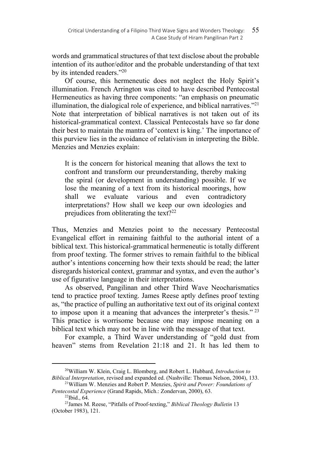words and grammatical structures of that text disclose about the probable intention of its author/editor and the probable understanding of that text by its intended readers."<sup>20</sup>

Of course, this hermeneutic does not neglect the Holy Spirit's illumination. French Arrington was cited to have described Pentecostal Hermeneutics as having three components: "an emphasis on pneumatic illumination, the dialogical role of experience, and biblical narratives."<sup>21</sup> Note that interpretation of biblical narratives is not taken out of its historical-grammatical context. Classical Pentecostals have so far done their best to maintain the mantra of 'context is king.' The importance of this purview lies in the avoidance of relativism in interpreting the Bible. Menzies and Menzies explain:

It is the concern for historical meaning that allows the text to confront and transform our preunderstanding, thereby making the spiral (or development in understanding) possible. If we lose the meaning of a text from its historical moorings, how shall we evaluate various and even contradictory interpretations? How shall we keep our own ideologies and prejudices from obliterating the text?<sup>22</sup>

Thus, Menzies and Menzies point to the necessary Pentecostal Evangelical effort in remaining faithful to the authorial intent of a biblical text. This historical-grammatical hermeneutic is totally different from proof texting. The former strives to remain faithful to the biblical author's intentions concerning how their texts should be read; the latter disregards historical context, grammar and syntax, and even the author's use of figurative language in their interpretations.

As observed, Pangilinan and other Third Wave Neocharismatics tend to practice proof texting. James Reese aptly defines proof texting as, "the practice of pulling an authoritative text out of its original context to impose upon it a meaning that advances the interpreter's thesis."<sup>23</sup> This practice is worrisome because one may impose meaning on a biblical text which may not be in line with the message of that text.

For example, a Third Waver understanding of "gold dust from heaven" stems from Revelation 21:18 and 21. It has led them to

<sup>20</sup>William W. Klein, Craig L. Blomberg, and Robert L. Hubbard, *Introduction to Biblical Interpretation*, revised and expanded ed. (Nashville: Thomas Nelson, 2004), 133. 21William W. Menzies and Robert P. Menzies, *Spirit and Power: Foundations of* 

*Pentecostal Experience* (Grand Rapids, Mich.: Zondervan, 2000), 63. 22Ibid., 64.

<sup>23</sup>James M. Reese, "Pitfalls of Proof-texting," *Biblical Theology Bulletin* 13 (October 1983), 121.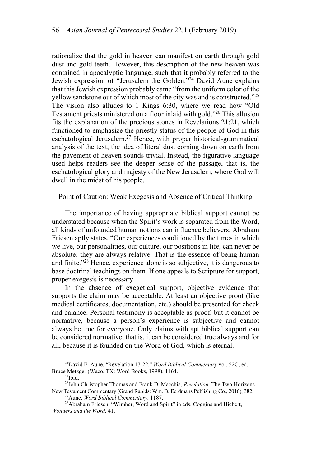rationalize that the gold in heaven can manifest on earth through gold dust and gold teeth. However, this description of the new heaven was contained in apocalyptic language, such that it probably referred to the Jewish expression of "Jerusalem the Golden."<sup>24</sup> David Aune explains that this Jewish expression probably came "from the uniform color of the yellow sandstone out of which most of the city was and is constructed."25 The vision also alludes to 1 Kings 6:30, where we read how "Old Testament priests ministered on a floor inlaid with gold."26 This allusion fits the explanation of the precious stones in Revelations 21:21, which functioned to emphasize the priestly status of the people of God in this eschatological Jerusalem.<sup>27</sup> Hence, with proper historical-grammatical analysis of the text, the idea of literal dust coming down on earth from the pavement of heaven sounds trivial. Instead, the figurative language used helps readers see the deeper sense of the passage, that is, the eschatological glory and majesty of the New Jerusalem, where God will dwell in the midst of his people.

Point of Caution: Weak Exegesis and Absence of Critical Thinking

The importance of having appropriate biblical support cannot be understated because when the Spirit's work is separated from the Word, all kinds of unfounded human notions can influence believers. Abraham Friesen aptly states, "Our experiences conditioned by the times in which we live, our personalities, our culture, our positions in life, can never be absolute; they are always relative. That is the essence of being human and finite."28 Hence, experience alone is so subjective, it is dangerous to base doctrinal teachings on them. If one appeals to Scripture for support, proper exegesis is necessary.

In the absence of exegetical support, objective evidence that supports the claim may be acceptable. At least an objective proof (like medical certificates, documentation, etc.) should be presented for check and balance. Personal testimony is acceptable as proof, but it cannot be normative, because a person's experience is subjective and cannot always be true for everyone. Only claims with apt biblical support can be considered normative, that is, it can be considered true always and for all, because it is founded on the Word of God, which is eternal.

<sup>24</sup>David E. Aune, "Revelation 17-22," *Word Biblical Commentary* vol. 52C, ed. Bruce Metzger (Waco, TX: Word Books, 1998), 1164.<br><sup>25</sup>Ibid.

<sup>26</sup>John Christopher Thomas and Frank D. Macchia, *Revelation.* The Two Horizons New Testament Commentary (Grand Rapids: Wm. B. Eerdmans Publishing Co., 2016), 382.<br><sup>27</sup>Aune, *Word Biblical Commentary*, 1187.<br><sup>28</sup>Abraham Friesen, "Wimber, Word and Spirit" in eds. Coggins and Hiebert,

*Wonders and the Word*, 41.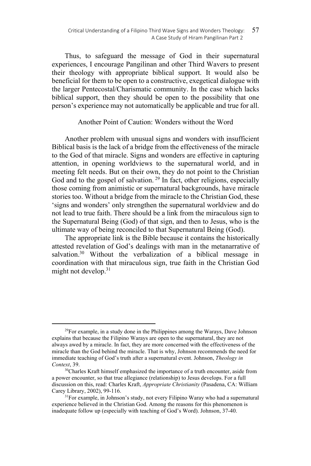Thus, to safeguard the message of God in their supernatural experiences, I encourage Pangilinan and other Third Wavers to present their theology with appropriate biblical support. It would also be beneficial for them to be open to a constructive, exegetical dialogue with the larger Pentecostal/Charismatic community. In the case which lacks biblical support, then they should be open to the possibility that one person's experience may not automatically be applicable and true for all.

## Another Point of Caution: Wonders without the Word

Another problem with unusual signs and wonders with insufficient Biblical basis is the lack of a bridge from the effectiveness of the miracle to the God of that miracle. Signs and wonders are effective in capturing attention, in opening worldviews to the supernatural world, and in meeting felt needs. But on their own, they do not point to the Christian God and to the gospel of salvation.<sup>29</sup> In fact, other religions, especially those coming from animistic or supernatural backgrounds, have miracle stories too. Without a bridge from the miracle to the Christian God, these 'signs and wonders' only strengthen the supernatural worldview and do not lead to true faith. There should be a link from the miraculous sign to the Supernatural Being (God) of that sign, and then to Jesus, who is the ultimate way of being reconciled to that Supernatural Being (God).

The appropriate link is the Bible because it contains the historically attested revelation of God's dealings with man in the metanarrative of salvation.<sup>30</sup> Without the verbalization of a biblical message in coordination with that miraculous sign, true faith in the Christian God might not develop.<sup>31</sup>

 $29$ For example, in a study done in the Philippines among the Warays, Dave Johnson explains that because the Filipino Warays are open to the supernatural, they are not always awed by a miracle. In fact, they are more concerned with the effectiveness of the miracle than the God behind the miracle. That is why, Johnson recommends the need for immediate teaching of God's truth after a supernatural event. Johnson, *Theology in Context*, 39. <sup>30</sup>Charles Kraft himself emphasized the importance of a truth encounter, aside from

a power encounter, so that true allegiance (relationship) to Jesus develops. For a full discussion on this, read: Charles Kraft, *Appropriate Christianity* (Pasadena, CA: William Carey Library, 2002), 99-116.<br><sup>31</sup>For example, in Johnson's study, not every Filipino Waray who had a supernatural

experience believed in the Christian God. Among the reasons for this phenomenon is inadequate follow up (especially with teaching of God's Word). Johnson, 37-40.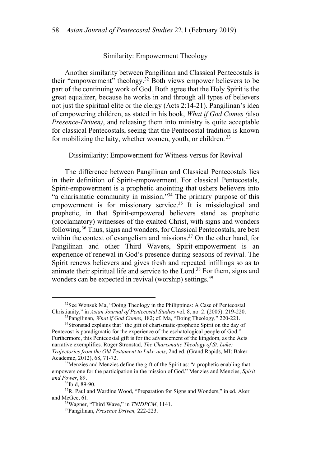### Similarity: Empowerment Theology

Another similarity between Pangilinan and Classical Pentecostals is their "empowerment" theology.<sup>32</sup> Both views empower believers to be part of the continuing work of God. Both agree that the Holy Spirit is the great equalizer, because he works in and through all types of believers not just the spiritual elite or the clergy (Acts 2:14-21). Pangilinan's idea of empowering children, as stated in his book, *What if God Comes (*also *Presence-Driven)*, and releasing them into ministry is quite acceptable for classical Pentecostals, seeing that the Pentecostal tradition is known for mobilizing the laity, whether women, youth, or children.<sup>33</sup>

Dissimilarity: Empowerment for Witness versus for Revival

The difference between Pangilinan and Classical Pentecostals lies in their definition of Spirit-empowerment. For classical Pentecostals, Spirit-empowerment is a prophetic anointing that ushers believers into "a charismatic community in mission."34 The primary purpose of this empowerment is for missionary service.<sup>35</sup> It is missiological and prophetic, in that Spirit-empowered believers stand as prophetic (proclamatory) witnesses of the exalted Christ, with signs and wonders following.36 Thus, signs and wonders, for Classical Pentecostals, are best within the context of evangelism and missions.<sup>37</sup> On the other hand, for Pangilinan and other Third Wavers, Spirit-empowerment is an experience of renewal in God's presence during seasons of revival. The Spirit renews believers and gives fresh and repeated infillings so as to animate their spiritual life and service to the Lord.<sup>38</sup> For them, signs and wonders can be expected in revival (worship) settings.<sup>39</sup>

<sup>&</sup>lt;sup>32</sup>See Wonsuk Ma, "Doing Theology in the Philippines: A Case of Pentecostal Christianity," in *Asian Journal of Pentecostal Studies* vol. 8, no. 2. (2005): 219-220.

<sup>&</sup>lt;sup>33</sup>Pangilinan, *What if God Comes*, 182; cf. Ma, "Doing Theology," 220-221.<br><sup>34</sup>Stronstad explains that "the gift of charismatic-prophetic Spirit on the day of

Pentecost is paradigmatic for the experience of the eschatological people of God." Furthermore, this Pentecostal gift is for the advancement of the kingdom, as the Acts narrative exemplifies. Roger Stronstad, *The Charismatic Theology of St. Luke: Trajectories from the Old Testament to Luke-acts*, 2nd ed. (Grand Rapids, MI: Baker

<sup>&</sup>lt;sup>35</sup>Menzies and Menzies define the gift of the Spirit as: "a prophetic enabling that empowers one for the participation in the mission of God." Menzies and Menzies, *Spirit and Power*, 89.<br><sup>36</sup>Ibid, 89-90.

<sup>&</sup>lt;sup>37</sup>R. Paul and Wardine Wood, "Preparation for Signs and Wonders," in ed. Aker and McGee, 61. 38Wagner, "Third Wave," in *TNIDPCM*, 1141. 39Pangilinan, *Presence Driven,* 222-223.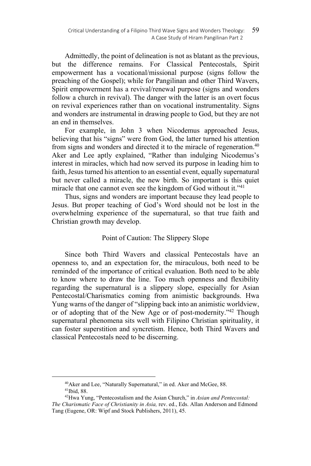Admittedly, the point of delineation is not as blatant as the previous, but the difference remains. For Classical Pentecostals, Spirit empowerment has a vocational/missional purpose (signs follow the preaching of the Gospel); while for Pangilinan and other Third Wavers, Spirit empowerment has a revival/renewal purpose (signs and wonders follow a church in revival). The danger with the latter is an overt focus on revival experiences rather than on vocational instrumentality. Signs and wonders are instrumental in drawing people to God, but they are not an end in themselves.

For example, in John 3 when Nicodemus approached Jesus, believing that his "signs" were from God, the latter turned his attention from signs and wonders and directed it to the miracle of regeneration.<sup>40</sup> Aker and Lee aptly explained, "Rather than indulging Nicodemus's interest in miracles, which had now served its purpose in leading him to faith, Jesus turned his attention to an essential event, equally supernatural but never called a miracle, the new birth. So important is this quiet miracle that one cannot even see the kingdom of God without it."41

Thus, signs and wonders are important because they lead people to Jesus. But proper teaching of God's Word should not be lost in the overwhelming experience of the supernatural, so that true faith and Christian growth may develop.

# Point of Caution: The Slippery Slope

Since both Third Wavers and classical Pentecostals have an openness to, and an expectation for, the miraculous, both need to be reminded of the importance of critical evaluation. Both need to be able to know where to draw the line. Too much openness and flexibility regarding the supernatural is a slippery slope, especially for Asian Pentecostal/Charismatics coming from animistic backgrounds. Hwa Yung warns of the danger of "slipping back into an animistic worldview, or of adopting that of the New Age or of post-modernity."42 Though supernatural phenomena sits well with Filipino Christian spirituality, it can foster superstition and syncretism. Hence, both Third Wavers and classical Pentecostals need to be discerning.

 $40$ Aker and Lee, "Naturally Supernatural," in ed. Aker and McGee, 88.  $41$ Ibid, 88.

<sup>42</sup>Hwa Yung, "Pentecostalism and the Asian Church," in *Asian and Pentecostal: The Charismatic Face of Christianity in Asia,* rev. ed., Eds. Allan Anderson and Edmond Tang (Eugene, OR: Wipf and Stock Publishers, 2011), 45.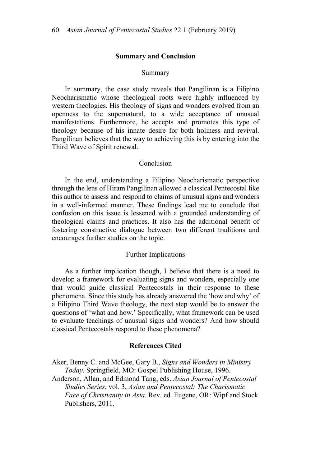#### **Summary and Conclusion**

#### Summary

In summary, the case study reveals that Pangilinan is a Filipino Neocharismatic whose theological roots were highly influenced by western theologies. His theology of signs and wonders evolved from an openness to the supernatural, to a wide acceptance of unusual manifestations. Furthermore, he accepts and promotes this type of theology because of his innate desire for both holiness and revival. Pangilinan believes that the way to achieving this is by entering into the Third Wave of Spirit renewal.

### Conclusion

In the end, understanding a Filipino Neocharismatic perspective through the lens of Hiram Pangilinan allowed a classical Pentecostal like this author to assess and respond to claims of unusual signs and wonders in a well-informed manner. These findings lead me to conclude that confusion on this issue is lessened with a grounded understanding of theological claims and practices. It also has the additional benefit of fostering constructive dialogue between two different traditions and encourages further studies on the topic.

#### Further Implications

As a further implication though, I believe that there is a need to develop a framework for evaluating signs and wonders, especially one that would guide classical Pentecostals in their response to these phenomena. Since this study has already answered the 'how and why' of a Filipino Third Wave theology, the next step would be to answer the questions of 'what and how.' Specifically, what framework can be used to evaluate teachings of unusual signs and wonders? And how should classical Pentecostals respond to these phenomena?

#### **References Cited**

Aker, Benny C. and McGee, Gary B., *Signs and Wonders in Ministry Today*. Springfield, MO: Gospel Publishing House, 1996.

Anderson, Allan, and Edmond Tang, eds. *Asian Journal of Pentecostal Studies Series*, vol. 3, *Asian and Pentecostal: The Charismatic Face of Christianity in Asia*. Rev. ed. Eugene, OR: Wipf and Stock Publishers, 2011.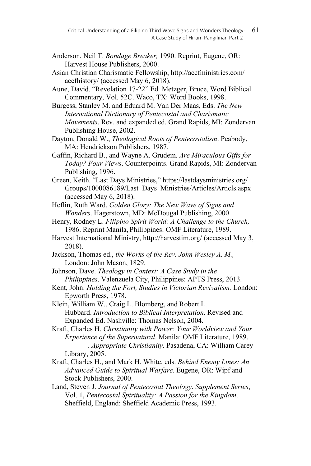- Anderson, Neil T. *Bondage Breaker,* 1990. Reprint, Eugene, OR: Harvest House Publishers, 2000.
- Asian Christian Charismatic Fellowship, http://accfministries.com/ accfhistory/ (accessed May 6, 2018).
- Aune, David. "Revelation 17-22" Ed. Metzger, Bruce, Word Biblical Commentary, Vol. 52C. Waco, TX: Word Books, 1998.
- Burgess, Stanley M. and Eduard M. Van Der Maas, Eds. *The New International Dictionary of Pentecostal and Charismatic Movements*. Rev. and expanded ed. Grand Rapids, MI: Zondervan Publishing House, 2002.
- Dayton, Donald W., *Theological Roots of Pentecostalism*. Peabody, MA: Hendrickson Publishers, 1987.
- Gaffin, Richard B., and Wayne A. Grudem. *Are Miraculous Gifts for Today? Four Views*. Counterpoints. Grand Rapids, MI: Zondervan Publishing, 1996.
- Green, Keith. "Last Days Ministries," https://lastdaysministries.org/ Groups/1000086189/Last Days Ministries/Articles/Articls.aspx (accessed May 6, 2018).
- Heflin, Ruth Ward. *Golden Glory: The New Wave of Signs and Wonders*. Hagerstown, MD: McDougal Publishing, 2000.
- Henry, Rodney L. *Filipino Spirit World: A Challenge to the Church,* 1986. Reprint Manila, Philippines: OMF Literature, 1989.
- Harvest International Ministry, http://harvestim.org/ (accessed May 3, 2018).
- Jackson, Thomas ed., *the Works of the Rev. John Wesley A. M.,* London: John Mason, 1829.
- Johnson, Dave. *Theology in Context: A Case Study in the Philippines*. Valenzuela City, Philippines: APTS Press, 2013.
- Kent, John. *Holding the Fort, Studies in Victorian Revivalism.* London: Epworth Press, 1978.
- Klein, William W., Craig L. Blomberg, and Robert L. Hubbard. *Introduction to Biblical Interpretation*. Revised and Expanded Ed. Nashville: Thomas Nelson, 2004.

Kraft, Charles H. *Christianity with Power: Your Worldview and Your Experience of the Supernatural*. Manila: OMF Literature, 1989. \_\_\_\_\_\_\_\_\_\_. *Appropriate Christianity*. Pasadena, CA: William Carey Library, 2005.

- Kraft, Charles H., and Mark H. White, eds. *Behind Enemy Lines: An Advanced Guide to Spiritual Warfare*. Eugene, OR: Wipf and Stock Publishers, 2000.
- Land, Steven J. *Journal of Pentecostal Theology. Supplement Series*, Vol. 1, *Pentecostal Spirituality: A Passion for the Kingdom*. Sheffield, England: Sheffield Academic Press, 1993.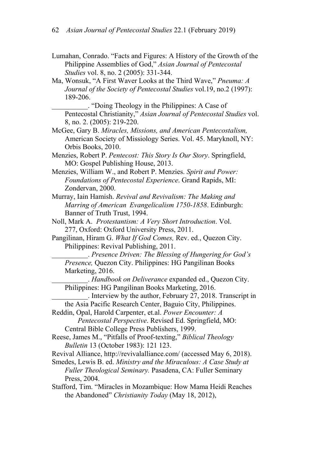- Lumahan, Conrado. "Facts and Figures: A History of the Growth of the Philippine Assemblies of God," *Asian Journal of Pentecostal Studies* vol. 8, no. 2 (2005): 331-344.
- Ma, Wonsuk, "A First Waver Looks at the Third Wave," *Pneuma: A Journal of the Society of Pentecostal Studies* vol.19, no.2 (1997): 189-206.

\_\_\_\_\_\_\_\_\_\_. "Doing Theology in the Philippines: A Case of Pentecostal Christianity," *Asian Journal of Pentecostal Studies* vol. 8, no. 2. (2005): 219-220.

McGee, Gary B. *Miracles, Missions, and American Pentecostalism,*  American Society of Missiology Series. Vol. 45. Maryknoll, NY: Orbis Books, 2010.

Menzies, Robert P. *Pentecost: This Story Is Our Story*. Springfield, MO: Gospel Publishing House, 2013.

Menzies, William W., and Robert P. Menzies. *Spirit and Power: Foundations of Pentecostal Experience*. Grand Rapids, MI: Zondervan, 2000.

Murray, Iain Hamish. *Revival and Revivalism: The Making and Marring of American Evangelicalism 1750-1858*. Edinburgh: Banner of Truth Trust, 1994.

- Noll, Mark A. *Protestantism: A Very Short Introduction*. Vol. 277, Oxford: Oxford University Press, 2011.
- Pangilinan, Hiram G. *What If God Comes,* Rev. ed., Quezon City. Philippines: Revival Publishing, 2011.

\_\_\_\_\_\_\_\_\_\_. *Presence Driven: The Blessing of Hungering for God's Presence,* Quezon City. Philippines: HG Pangilinan Books Marketing, 2016.

\_\_\_\_\_\_\_\_\_\_. *Handbook on Deliverance* expanded ed., Quezon City. Philippines: HG Pangilinan Books Marketing, 2016.

\_\_\_\_\_\_\_\_\_\_. Interview by the author, February 27, 2018. Transcript in the Asia Pacific Research Center, Baguio City, Philippines.

Reddin, Opal, Harold Carpenter, et.al. *Power Encounter: A Pentecostal Perspective*. Revised Ed. Springfield, MO:

Central Bible College Press Publishers, 1999.

Reese, James M., "Pitfalls of Proof-texting," *Biblical Theology Bulletin* 13 (October 1983): 121 123.

Revival Alliance, http://revivalalliance.com/ (accessed May 6, 2018).

Smedes, Lewis B. ed. *Ministry and the Miraculous: A Case Study at Fuller Theological Seminary.* Pasadena, CA: Fuller Seminary Press, 2004.

Stafford, Tim. "Miracles in Mozambique: How Mama Heidi Reaches the Abandoned" *Christianity Today* (May 18, 2012),